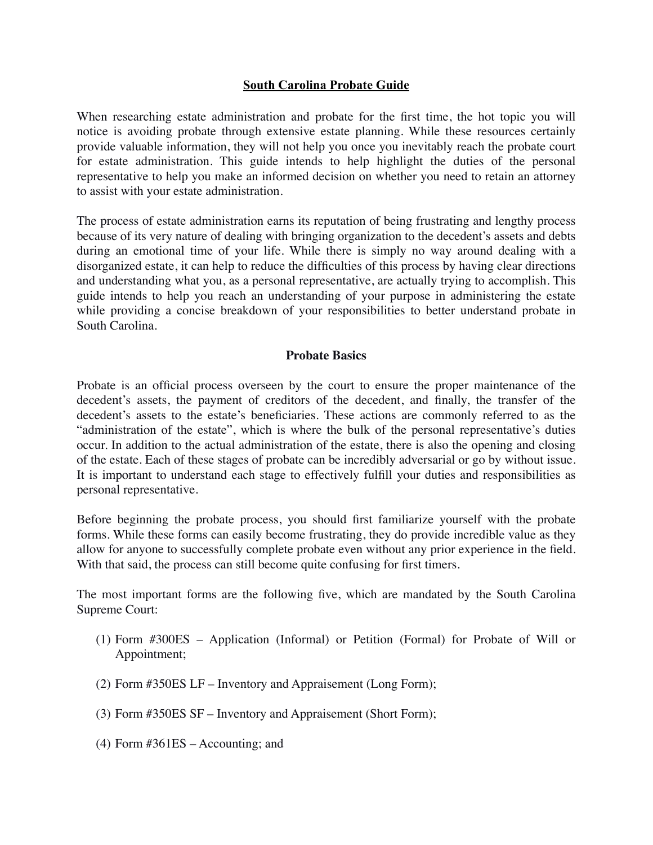### **South Carolina Probate Guide**

When researching estate administration and probate for the first time, the hot topic you will notice is avoiding probate through extensive estate planning. While these resources certainly provide valuable information, they will not help you once you inevitably reach the probate court for estate administration. This guide intends to help highlight the duties of the personal representative to help you make an informed decision on whether you need to retain an attorney to assist with your estate administration.

The process of estate administration earns its reputation of being frustrating and lengthy process because of its very nature of dealing with bringing organization to the decedent's assets and debts during an emotional time of your life. While there is simply no way around dealing with a disorganized estate, it can help to reduce the difficulties of this process by having clear directions and understanding what you, as a personal representative, are actually trying to accomplish. This guide intends to help you reach an understanding of your purpose in administering the estate while providing a concise breakdown of your responsibilities to better understand probate in South Carolina.

#### **Probate Basics**

Probate is an official process overseen by the court to ensure the proper maintenance of the decedent's assets, the payment of creditors of the decedent, and finally, the transfer of the decedent's assets to the estate's beneficiaries. These actions are commonly referred to as the "administration of the estate", which is where the bulk of the personal representative's duties occur. In addition to the actual administration of the estate, there is also the opening and closing of the estate. Each of these stages of probate can be incredibly adversarial or go by without issue. It is important to understand each stage to effectively fulfill your duties and responsibilities as personal representative.

Before beginning the probate process, you should first familiarize yourself with the probate forms. While these forms can easily become frustrating, they do provide incredible value as they allow for anyone to successfully complete probate even without any prior experience in the field. With that said, the process can still become quite confusing for first timers.

The most important forms are the following five, which are mandated by the South Carolina Supreme Court:

- (1) Form #300ES Application (Informal) or Petition (Formal) for Probate of Will or Appointment;
- (2) Form #350ES LF Inventory and Appraisement (Long Form);
- (3) Form #350ES SF Inventory and Appraisement (Short Form);
- (4) Form #361ES Accounting; and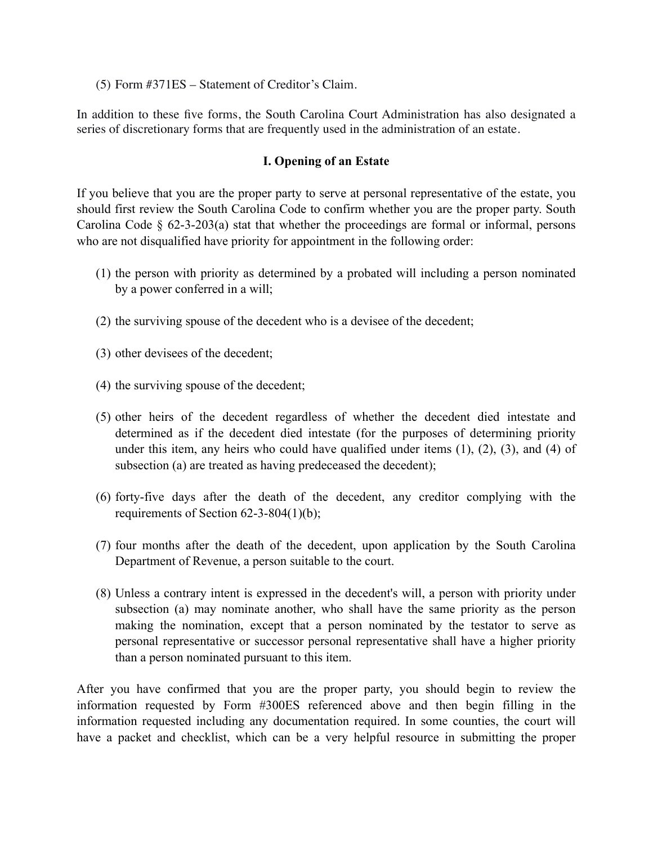(5) Form #371ES – Statement of Creditor's Claim.

In addition to these five forms, the South Carolina Court Administration has also designated a series of discretionary forms that are frequently used in the administration of an estate.

## **I. Opening of an Estate**

If you believe that you are the proper party to serve at personal representative of the estate, you should first review the South Carolina Code to confirm whether you are the proper party. South Carolina Code  $\S$  62-3-203(a) stat that whether the proceedings are formal or informal, persons who are not disqualified have priority for appointment in the following order:

- (1) the person with priority as determined by a probated will including a person nominated by a power conferred in a will;
- (2) the surviving spouse of the decedent who is a devisee of the decedent;
- (3) other devisees of the decedent;
- (4) the surviving spouse of the decedent;
- (5) other heirs of the decedent regardless of whether the decedent died intestate and determined as if the decedent died intestate (for the purposes of determining priority under this item, any heirs who could have qualified under items  $(1)$ ,  $(2)$ ,  $(3)$ , and  $(4)$  of subsection (a) are treated as having predeceased the decedent);
- (6) forty-five days after the death of the decedent, any creditor complying with the requirements of Section 62-3-804(1)(b);
- (7) four months after the death of the decedent, upon application by the South Carolina Department of Revenue, a person suitable to the court.
- (8) Unless a contrary intent is expressed in the decedent's will, a person with priority under subsection (a) may nominate another, who shall have the same priority as the person making the nomination, except that a person nominated by the testator to serve as personal representative or successor personal representative shall have a higher priority than a person nominated pursuant to this item.

After you have confirmed that you are the proper party, you should begin to review the information requested by Form #300ES referenced above and then begin filling in the information requested including any documentation required. In some counties, the court will have a packet and checklist, which can be a very helpful resource in submitting the proper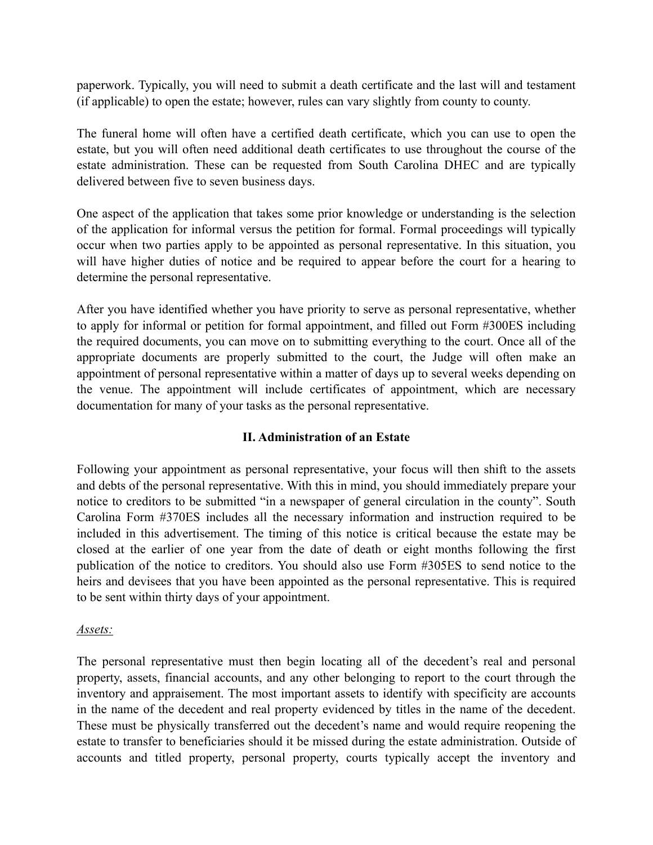paperwork. Typically, you will need to submit a death certificate and the last will and testament (if applicable) to open the estate; however, rules can vary slightly from county to county.

The funeral home will often have a certified death certificate, which you can use to open the estate, but you will often need additional death certificates to use throughout the course of the estate administration. These can be requested from South Carolina DHEC and are typically delivered between five to seven business days.

One aspect of the application that takes some prior knowledge or understanding is the selection of the application for informal versus the petition for formal. Formal proceedings will typically occur when two parties apply to be appointed as personal representative. In this situation, you will have higher duties of notice and be required to appear before the court for a hearing to determine the personal representative.

After you have identified whether you have priority to serve as personal representative, whether to apply for informal or petition for formal appointment, and filled out Form #300ES including the required documents, you can move on to submitting everything to the court. Once all of the appropriate documents are properly submitted to the court, the Judge will often make an appointment of personal representative within a matter of days up to several weeks depending on the venue. The appointment will include certificates of appointment, which are necessary documentation for many of your tasks as the personal representative.

## **II. Administration of an Estate**

Following your appointment as personal representative, your focus will then shift to the assets and debts of the personal representative. With this in mind, you should immediately prepare your notice to creditors to be submitted "in a newspaper of general circulation in the county". South Carolina Form #370ES includes all the necessary information and instruction required to be included in this advertisement. The timing of this notice is critical because the estate may be closed at the earlier of one year from the date of death or eight months following the first publication of the notice to creditors. You should also use Form #305ES to send notice to the heirs and devisees that you have been appointed as the personal representative. This is required to be sent within thirty days of your appointment.

## *Assets:*

The personal representative must then begin locating all of the decedent's real and personal property, assets, financial accounts, and any other belonging to report to the court through the inventory and appraisement. The most important assets to identify with specificity are accounts in the name of the decedent and real property evidenced by titles in the name of the decedent. These must be physically transferred out the decedent's name and would require reopening the estate to transfer to beneficiaries should it be missed during the estate administration. Outside of accounts and titled property, personal property, courts typically accept the inventory and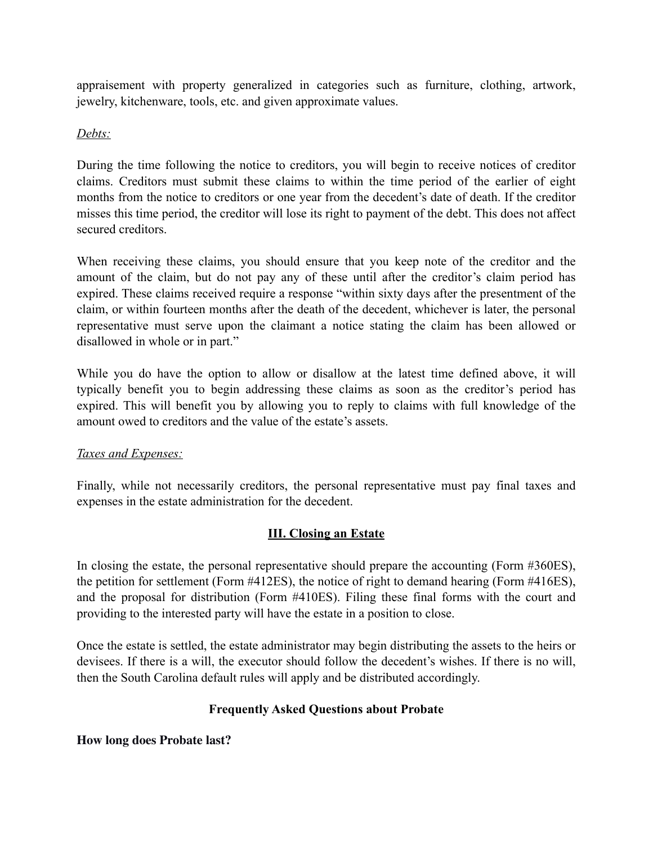appraisement with property generalized in categories such as furniture, clothing, artwork, jewelry, kitchenware, tools, etc. and given approximate values.

# *Debts:*

During the time following the notice to creditors, you will begin to receive notices of creditor claims. Creditors must submit these claims to within the time period of the earlier of eight months from the notice to creditors or one year from the decedent's date of death. If the creditor misses this time period, the creditor will lose its right to payment of the debt. This does not affect secured creditors.

When receiving these claims, you should ensure that you keep note of the creditor and the amount of the claim, but do not pay any of these until after the creditor's claim period has expired. These claims received require a response "within sixty days after the presentment of the claim, or within fourteen months after the death of the decedent, whichever is later, the personal representative must serve upon the claimant a notice stating the claim has been allowed or disallowed in whole or in part."

While you do have the option to allow or disallow at the latest time defined above, it will typically benefit you to begin addressing these claims as soon as the creditor's period has expired. This will benefit you by allowing you to reply to claims with full knowledge of the amount owed to creditors and the value of the estate's assets.

## *Taxes and Expenses:*

Finally, while not necessarily creditors, the personal representative must pay final taxes and expenses in the estate administration for the decedent.

# **III. Closing an Estate**

In closing the estate, the personal representative should prepare the accounting (Form #360ES), the petition for settlement (Form #412ES), the notice of right to demand hearing (Form #416ES), and the proposal for distribution (Form #410ES). Filing these final forms with the court and providing to the interested party will have the estate in a position to close.

Once the estate is settled, the estate administrator may begin distributing the assets to the heirs or devisees. If there is a will, the executor should follow the decedent's wishes. If there is no will, then the South Carolina default rules will apply and be distributed accordingly.

# **Frequently Asked Questions about Probate**

## **How long does Probate last?**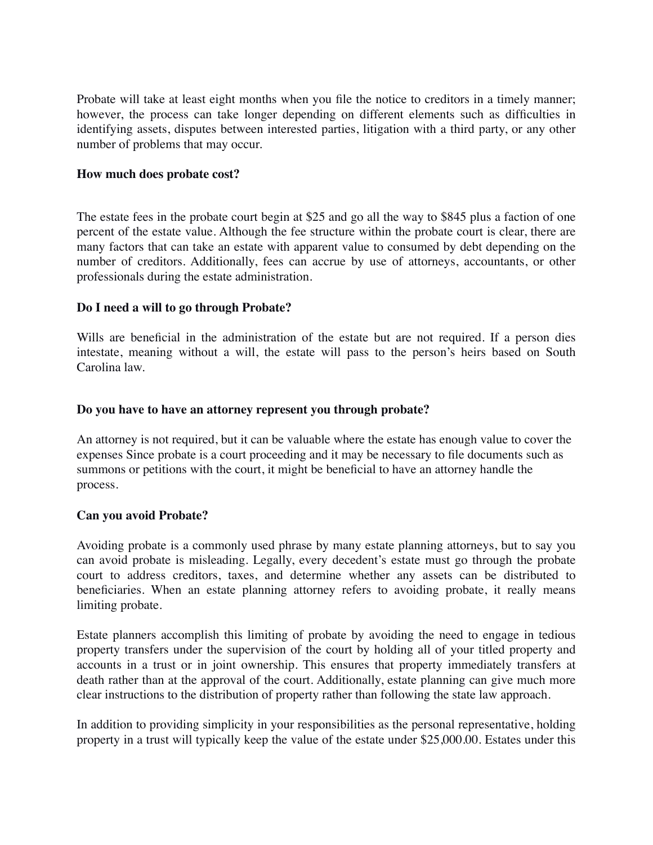Probate will take at least eight months when you file the notice to creditors in a timely manner; however, the process can take longer depending on different elements such as difficulties in identifying assets, disputes between interested parties, litigation with a third party, or any other number of problems that may occur.

#### **How much does probate cost?**

The estate fees in the probate court begin at \$25 and go all the way to \$845 plus a faction of one percent of the estate value. Although the fee structure within the probate court is clear, there are many factors that can take an estate with apparent value to consumed by debt depending on the number of creditors. Additionally, fees can accrue by use of attorneys, accountants, or other professionals during the estate administration.

### **Do I need a will to go through Probate?**

Wills are beneficial in the administration of the estate but are not required. If a person dies intestate, meaning without a will, the estate will pass to the person's heirs based on South Carolina law.

### **Do you have to have an attorney represent you through probate?**

An attorney is not required, but it can be valuable where the estate has enough value to cover the expenses Since probate is a court proceeding and it may be necessary to file documents such as summons or petitions with the court, it might be beneficial to have an attorney handle the process.

## **Can you avoid Probate?**

Avoiding probate is a commonly used phrase by many estate planning attorneys, but to say you can avoid probate is misleading. Legally, every decedent's estate must go through the probate court to address creditors, taxes, and determine whether any assets can be distributed to beneficiaries. When an estate planning attorney refers to avoiding probate, it really means limiting probate.

Estate planners accomplish this limiting of probate by avoiding the need to engage in tedious property transfers under the supervision of the court by holding all of your titled property and accounts in a trust or in joint ownership. This ensures that property immediately transfers at death rather than at the approval of the court. Additionally, estate planning can give much more clear instructions to the distribution of property rather than following the state law approach.

In addition to providing simplicity in your responsibilities as the personal representative, holding property in a trust will typically keep the value of the estate under \$25,000.00. Estates under this